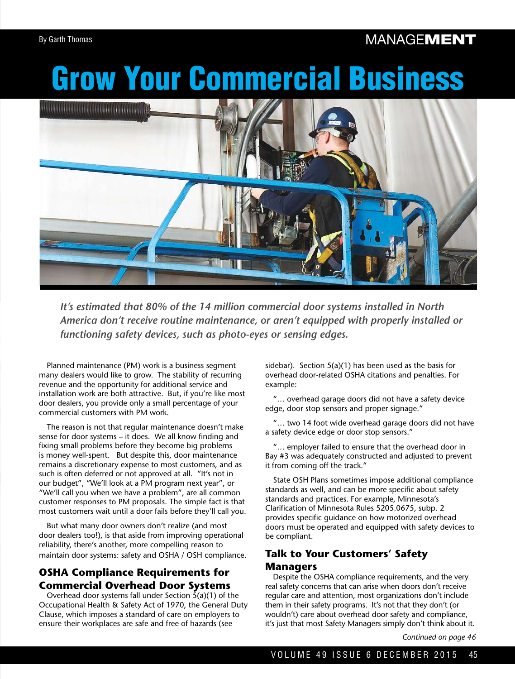## **MANAGEMENT**

# Grow Your Commercial Business



*It's estimated that 80% of the 14 million commercial door systems installed in North America don't receive routine maintenance, or aren't equipped with properly installed or functioning safety devices, such as photo-eyes or sensing edges.* 

Planned maintenance (PM) work is a business segment many dealers would like to grow. The stability of recurring revenue and the opportunity for additional service and installation work are both attractive. But, if you're like most door dealers, you provide only a small percentage of your commercial customers with PM work.

The reason is not that regular maintenance doesn't make sense for door systems – it does. We all know finding and fixing small problems before they become big problems is money well-spent. But despite this, door maintenance remains a discretionary expense to most customers, and as such is often deferred or not approved at all. "It's not in our budget", "We'll look at a PM program next year", or "We'll call you when we have a problem", are all common customer responses to PM proposals. The simple fact is that most customers wait until a door fails before they'll call you.

But what many door owners don't realize (and most door dealers too!), is that aside from improving operational reliability, there's another, more compelling reason to maintain door systems: safety and OSHA / OSH compliance.

### **OSHA Compliance Requirements for Commercial Overhead Door Systems**

Overhead door systems fall under Section  $\bar{5}(a)(1)$  of the Occupational Health & Safety Act of 1970, the General Duty Clause, which imposes a standard of care on employers to ensure their workplaces are safe and free of hazards (see

sidebar). Section 5(a)(1) has been used as the basis for overhead door-related OSHA citations and penalties. For example:

"… overhead garage doors did not have a safety device edge, door stop sensors and proper signage."

"… two 14 foot wide overhead garage doors did not have a safety device edge or door stop sensors."

"… employer failed to ensure that the overhead door in Bay #3 was adequately constructed and adjusted to prevent it from coming off the track."

State OSH Plans sometimes impose additional compliance standards as well, and can be more specific about safety standards and practices. For example, Minnesota's Clarifcation of Minnesota Rules 5205.0675, subp. 2 provides specific guidance on how motorized overhead doors must be operated and equipped with safety devices to be compliant.

#### **Talk to Your Customers' Safety Managers**

Despite the OSHA compliance requirements, and the very real safety concerns that can arise when doors don't receive regular care and attention, most organizations don't include them in their safety programs. It's not that they don't (or wouldn't) care about overhead door safety and compliance, it's just that most Safety Managers simply don't think about it.

*Continued on page 46*